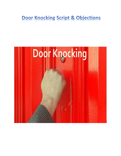# **Door Knocking Script & Objections**

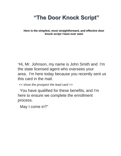# "The Door Knock Script"

**Here is the simplest, most straightforward, and effective door knock script I have ever seen**

"Hi, Mr. Johnson, my name is John Smith and I'm the state licensed agent who oversees your area. I'm here today because you recently sent us this card in the mail.

*<< show the prospect the lead card >>*

You have qualified for these benefits, and I'm here to ensure we complete the enrollment process.

May I come in?"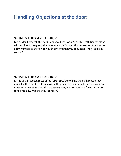#### **WHAT IS THIS CARD ABOUT?**

Mr. & Mrs. Prospect, this card talks about the Social Security Death Benefit along with additional programs that area available for your final expenses. It only takes a few minutes to share with you the information you requested. May I come in, please?

#### **WHAT IS THIS CARD ABOUT?**

Mr. & Mrs. Prospect, most of the folks I speak to tell me the main reason they mailed in the card for info is because they have a concern that they just want to make sure that when they do pass-a-way they are not leaving a financial burden to their family. Was that your concern?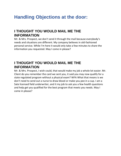#### **I THOUGHT YOU WOULD MAIL ME THE INFORMATION**

Mr. & Mrs. Prospect, we don't send it through the mail because everybody's needs and situations are different. My company believes in old-fashioned personal service. While I'm here it would only take a few minutes to share the information you requested. May I come in please?

### **I THOUGHT YOU WOULD MAIL ME THE INFORMATION**

Mr. & Mrs. Prospect, I wish could, that would make my job a whole lot easier. Mr. Client do you remember the card we sent you, it said you may now qualify for a state regulated program without a physical exam? WFA What that means is we don't need to send out a nurse to draw blood or make you pee in a cup. I am a Sate licensed field underwriter, and it my job to ask you a few health questions and help get you qualified for the best program that meets you needs. May I come in please?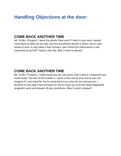#### **COME BACK ANOTHER TIME**

Mr. & Mrs. Prospect, I work the whole State and if I lived in your area I would come back as often as you like, but the enrollment period is when I am in your home or area. It only takes a few minutes, and I think this information is too important to put off. Today is the day. May I come in please?

### **COME BACK ANOTHER TIME**

Mr. & Mrs. Prospect, I understand you are very busy, that's why it's important we meet today. The fact of the matter is I work a five county area and as you can imagine it's very hard for me to come back to an area for just one person. I promise it only take a few minutes for me to show you how the State Regulated programs work and answer all your questions. May I come in please?